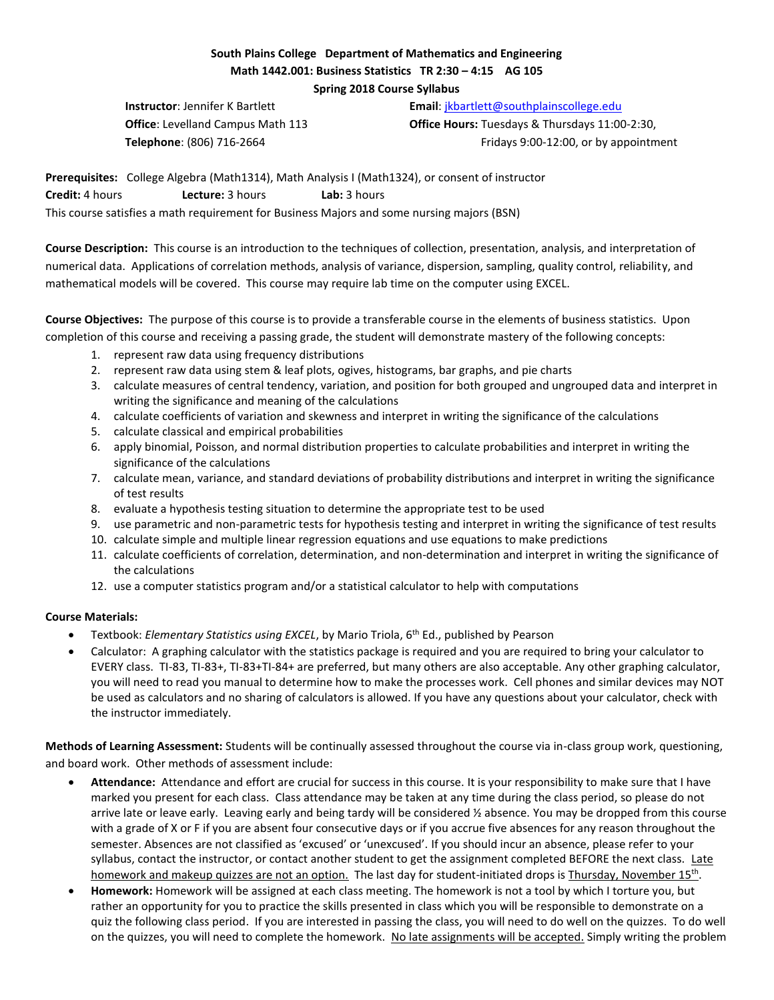# **South Plains College Department of Mathematics and Engineering Math 1442.001: Business Statistics TR 2:30 – 4:15 AG 105**

**Spring 2018 Course Syllabus** 

**Instructor**: Jennifer K Bartlett **Email:** ikbartlett@southplainscollege.edu

**Office**: Levelland Campus Math 113 **Office Hours:** Tuesdays & Thursdays 11:00-2:30, **Telephone**: (806) 716-2664 Fridays 9:00-12:00, or by appointment

**Prerequisites:** College Algebra (Math1314), Math Analysis I (Math1324), or consent of instructor **Credit:** 4 hours **Lecture:** 3 hours **Lab:** 3 hours This course satisfies a math requirement for Business Majors and some nursing majors (BSN)

**Course Description:** This course is an introduction to the techniques of collection, presentation, analysis, and interpretation of numerical data. Applications of correlation methods, analysis of variance, dispersion, sampling, quality control, reliability, and mathematical models will be covered. This course may require lab time on the computer using EXCEL.

**Course Objectives:** The purpose of this course is to provide a transferable course in the elements of business statistics. Upon completion of this course and receiving a passing grade, the student will demonstrate mastery of the following concepts:

- 1. represent raw data using frequency distributions
- 2. represent raw data using stem & leaf plots, ogives, histograms, bar graphs, and pie charts
- 3. calculate measures of central tendency, variation, and position for both grouped and ungrouped data and interpret in writing the significance and meaning of the calculations
- 4. calculate coefficients of variation and skewness and interpret in writing the significance of the calculations
- 5. calculate classical and empirical probabilities
- 6. apply binomial, Poisson, and normal distribution properties to calculate probabilities and interpret in writing the significance of the calculations
- 7. calculate mean, variance, and standard deviations of probability distributions and interpret in writing the significance of test results
- 8. evaluate a hypothesis testing situation to determine the appropriate test to be used
- 9. use parametric and non-parametric tests for hypothesis testing and interpret in writing the significance of test results
- 10. calculate simple and multiple linear regression equations and use equations to make predictions
- 11. calculate coefficients of correlation, determination, and non-determination and interpret in writing the significance of the calculations
- 12. use a computer statistics program and/or a statistical calculator to help with computations

## **Course Materials:**

- Textbook: *Elementary Statistics using EXCEL*, by Mario Triola, 6th Ed., published by Pearson
- Calculator: A graphing calculator with the statistics package is required and you are required to bring your calculator to EVERY class. TI-83, TI-83+, TI-83+TI-84+ are preferred, but many others are also acceptable. Any other graphing calculator, you will need to read you manual to determine how to make the processes work. Cell phones and similar devices may NOT be used as calculators and no sharing of calculators is allowed. If you have any questions about your calculator, check with the instructor immediately.

**Methods of Learning Assessment:** Students will be continually assessed throughout the course via in-class group work, questioning, and board work. Other methods of assessment include:

- **Attendance:** Attendance and effort are crucial for success in this course. It is your responsibility to make sure that I have marked you present for each class. Class attendance may be taken at any time during the class period, so please do not arrive late or leave early. Leaving early and being tardy will be considered 1/2 absence. You may be dropped from this course with a grade of X or F if you are absent four consecutive days or if you accrue five absences for any reason throughout the semester. Absences are not classified as 'excused' or 'unexcused'. If you should incur an absence, please refer to your syllabus, contact the instructor, or contact another student to get the assignment completed BEFORE the next class. Late homework and makeup quizzes are not an option. The last day for student-initiated drops is Thursday, November 15<sup>th</sup>.
- **Homework:** Homework will be assigned at each class meeting. The homework is not a tool by which I torture you, but rather an opportunity for you to practice the skills presented in class which you will be responsible to demonstrate on a quiz the following class period. If you are interested in passing the class, you will need to do well on the quizzes. To do well on the quizzes, you will need to complete the homework. No late assignments will be accepted. Simply writing the problem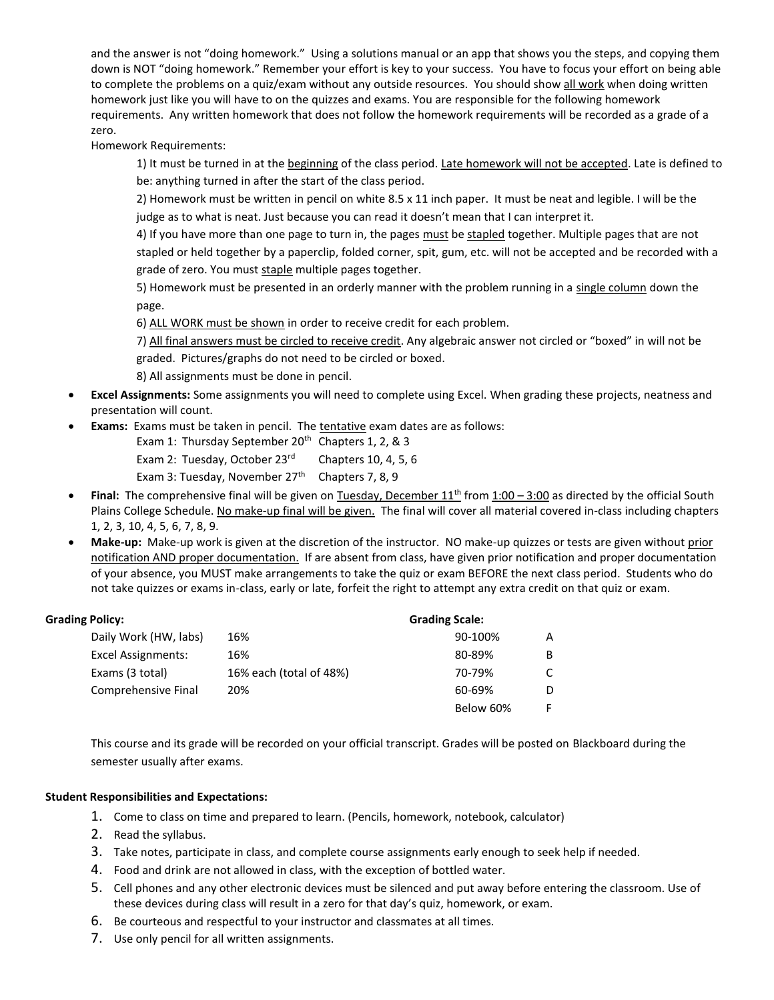and the answer is not "doing homework." Using a solutions manual or an app that shows you the steps, and copying them down is NOT "doing homework." Remember your effort is key to your success. You have to focus your effort on being able to complete the problems on a quiz/exam without any outside resources. You should show all work when doing written homework just like you will have to on the quizzes and exams. You are responsible for the following homework requirements. Any written homework that does not follow the homework requirements will be recorded as a grade of a zero.

Homework Requirements:

1) It must be turned in at the beginning of the class period. Late homework will not be accepted. Late is defined to be: anything turned in after the start of the class period.

2) Homework must be written in pencil on white 8.5 x 11 inch paper. It must be neat and legible. I will be the judge as to what is neat. Just because you can read it doesn't mean that I can interpret it.

4) If you have more than one page to turn in, the pages must be stapled together. Multiple pages that are not stapled or held together by a paperclip, folded corner, spit, gum, etc. will not be accepted and be recorded with a grade of zero. You must staple multiple pages together.

5) Homework must be presented in an orderly manner with the problem running in a single column down the page.

6) ALL WORK must be shown in order to receive credit for each problem.

7) All final answers must be circled to receive credit. Any algebraic answer not circled or "boxed" in will not be graded. Pictures/graphs do not need to be circled or boxed.

8) All assignments must be done in pencil.

- **Excel Assignments:** Some assignments you will need to complete using Excel. When grading these projects, neatness and presentation will count.
- **Exams:** Exams must be taken in pencil. The tentative exam dates are as follows:

Exam 1: Thursday September 20<sup>th</sup> Chapters 1, 2, & 3

Exam 2: Tuesday, October 23<sup>rd</sup> Chapters 10, 4, 5, 6

- Exam 3: Tuesday, November  $27<sup>th</sup>$  Chapters 7, 8, 9
- **Final:** The comprehensive final will be given on Tuesday, December 11<sup>th</sup> from 1:00 3:00 as directed by the official South Plains College Schedule. No make-up final will be given. The final will cover all material covered in-class including chapters 1, 2, 3, 10, 4, 5, 6, 7, 8, 9.
- **Make-up:** Make-up work is given at the discretion of the instructor. NO make-up quizzes or tests are given without prior notification AND proper documentation. If are absent from class, have given prior notification and proper documentation of your absence, you MUST make arrangements to take the quiz or exam BEFORE the next class period. Students who do not take quizzes or exams in-class, early or late, forfeit the right to attempt any extra credit on that quiz or exam.

## **Grading Policy: Grading Scale:**

| Daily Work (HW, labs)     | 16%                     | 90-100%   | А |
|---------------------------|-------------------------|-----------|---|
| <b>Excel Assignments:</b> | 16%                     | 80-89%    | B |
| Exams (3 total)           | 16% each (total of 48%) | 70-79%    |   |
| Comprehensive Final       | 20%                     | 60-69%    |   |
|                           |                         | Below 60% |   |

This course and its grade will be recorded on your official transcript. Grades will be posted on Blackboard during the semester usually after exams.

### **Student Responsibilities and Expectations:**

- 1. Come to class on time and prepared to learn. (Pencils, homework, notebook, calculator)
- 2. Read the syllabus.
- 3. Take notes, participate in class, and complete course assignments early enough to seek help if needed.
- 4. Food and drink are not allowed in class, with the exception of bottled water.
- 5. Cell phones and any other electronic devices must be silenced and put away before entering the classroom. Use of these devices during class will result in a zero for that day's quiz, homework, or exam.
- 6. Be courteous and respectful to your instructor and classmates at all times.
- 7. Use only pencil for all written assignments.